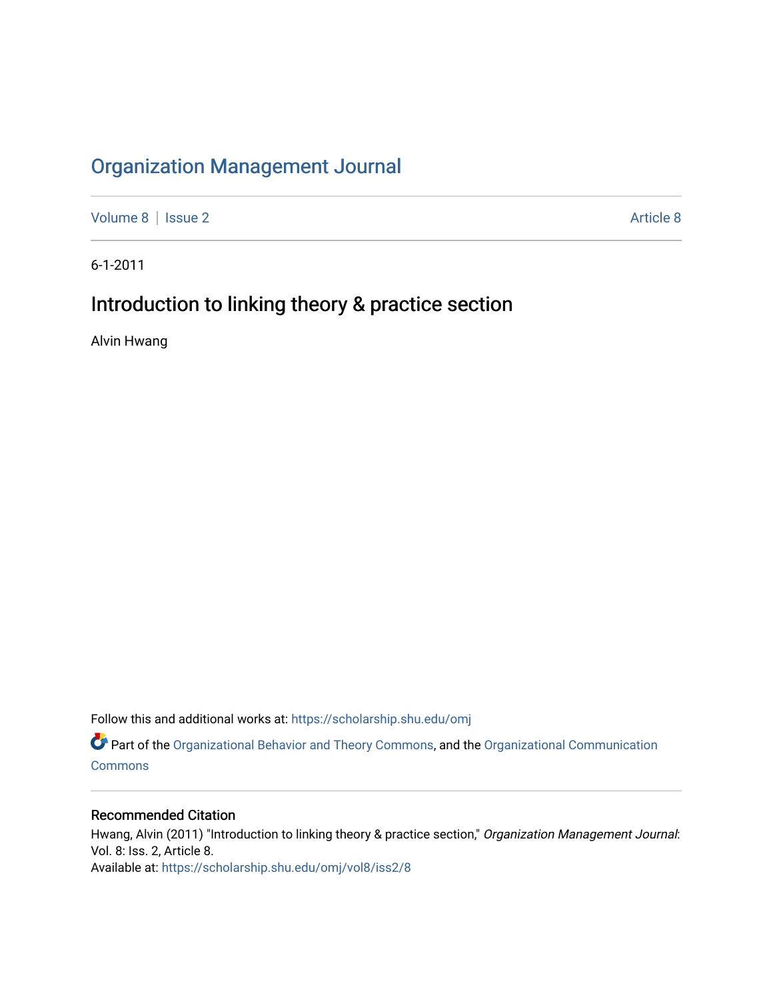## [Organization Management Journal](https://scholarship.shu.edu/omj)

[Volume 8](https://scholarship.shu.edu/omj/vol8) | [Issue 2](https://scholarship.shu.edu/omj/vol8/iss2) Article 8

6-1-2011

## Introduction to linking theory & practice section

Alvin Hwang

Follow this and additional works at: [https://scholarship.shu.edu/omj](https://scholarship.shu.edu/omj?utm_source=scholarship.shu.edu%2Fomj%2Fvol8%2Fiss2%2F8&utm_medium=PDF&utm_campaign=PDFCoverPages) 

Part of the [Organizational Behavior and Theory Commons,](http://network.bepress.com/hgg/discipline/639?utm_source=scholarship.shu.edu%2Fomj%2Fvol8%2Fiss2%2F8&utm_medium=PDF&utm_campaign=PDFCoverPages) and the [Organizational Communication](http://network.bepress.com/hgg/discipline/335?utm_source=scholarship.shu.edu%2Fomj%2Fvol8%2Fiss2%2F8&utm_medium=PDF&utm_campaign=PDFCoverPages) **[Commons](http://network.bepress.com/hgg/discipline/335?utm_source=scholarship.shu.edu%2Fomj%2Fvol8%2Fiss2%2F8&utm_medium=PDF&utm_campaign=PDFCoverPages)** 

### Recommended Citation

Hwang, Alvin (2011) "Introduction to linking theory & practice section," Organization Management Journal: Vol. 8: Iss. 2, Article 8. Available at: [https://scholarship.shu.edu/omj/vol8/iss2/8](https://scholarship.shu.edu/omj/vol8/iss2/8?utm_source=scholarship.shu.edu%2Fomj%2Fvol8%2Fiss2%2F8&utm_medium=PDF&utm_campaign=PDFCoverPages)